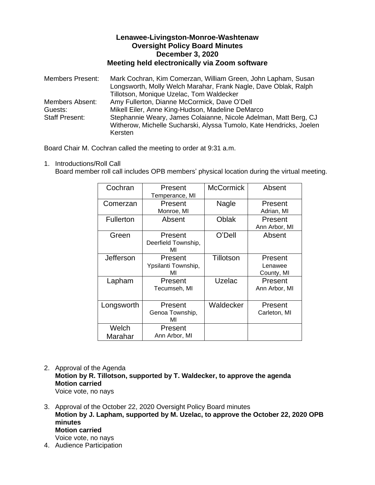## **Lenawee-Livingston-Monroe-Washtenaw Oversight Policy Board Minutes December 3, 2020 Meeting held electronically via Zoom software**

Members Present: Mark Cochran, Kim Comerzan, William Green, John Lapham, Susan Longsworth, Molly Welch Marahar, Frank Nagle, Dave Oblak, Ralph Tillotson, Monique Uzelac, Tom Waldecker Members Absent: Amy Fullerton, Dianne McCormick, Dave O'Dell Guests: Mikell Eiler, Anne King-Hudson, Madeline DeMarco Staff Present: Stephannie Weary, James Colaianne, Nicole Adelman, Matt Berg, CJ Witherow, Michelle Sucharski, Alyssa Tumolo, Kate Hendricks, Joelen Kersten

Board Chair M. Cochran called the meeting to order at 9:31 a.m.

1. Introductions/Roll Call Board member roll call includes OPB members' physical location during the virtual meeting.

| Cochran          | Present             | <b>McCormick</b> | Absent        |
|------------------|---------------------|------------------|---------------|
|                  | Temperance, MI      |                  |               |
| Comerzan         | Present             | Nagle            | Present       |
|                  | Monroe, MI          |                  | Adrian, MI    |
| <b>Fullerton</b> | Absent              | Oblak            | Present       |
|                  |                     |                  | Ann Arbor, MI |
| Green            | Present             | O'Dell           | Absent        |
|                  | Deerfield Township, |                  |               |
|                  | MI                  |                  |               |
| Jefferson        | Present             | Tillotson        | Present       |
|                  | Ypsilanti Township, |                  | Lenawee       |
|                  | МΙ                  |                  | County, MI    |
| Lapham           | Present             | Uzelac           | Present       |
|                  | Tecumseh, MI        |                  | Ann Arbor, MI |
|                  |                     |                  |               |
| Longsworth       | Present             | Waldecker        | Present       |
|                  | Genoa Township,     |                  | Carleton, MI  |
|                  | МΙ                  |                  |               |
| Welch            | Present             |                  |               |
| Marahar          | Ann Arbor, MI       |                  |               |

- 2. Approval of the Agenda **Motion by R. Tillotson, supported by T. Waldecker, to approve the agenda Motion carried** Voice vote, no nays
- 3. Approval of the October 22, 2020 Oversight Policy Board minutes **Motion by J. Lapham, supported by M. Uzelac, to approve the October 22, 2020 OPB minutes Motion carried** Voice vote, no nays 4. Audience Participation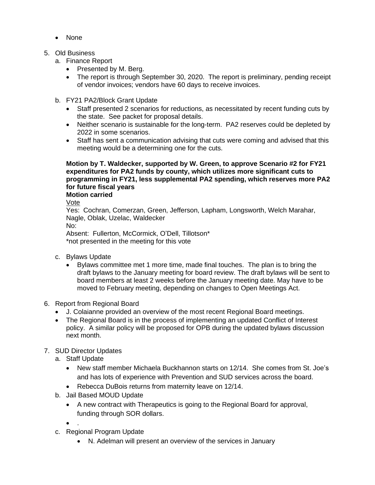- None
- 5. Old Business
	- a. Finance Report
		- Presented by M. Berg.
		- The report is through September 30, 2020. The report is preliminary, pending receipt of vendor invoices; vendors have 60 days to receive invoices.
	- b. FY21 PA2/Block Grant Update
		- Staff presented 2 scenarios for reductions, as necessitated by recent funding cuts by the state. See packet for proposal details.
		- Neither scenario is sustainable for the long-term. PA2 reserves could be depleted by 2022 in some scenarios.
		- Staff has sent a communication advising that cuts were coming and advised that this meeting would be a determining one for the cuts.

## **Motion by T. Waldecker, supported by W. Green, to approve Scenario #2 for FY21 expenditures for PA2 funds by county, which utilizes more significant cuts to programming in FY21, less supplemental PA2 spending, which reserves more PA2 for future fiscal years**

## **Motion carried**

Vote

Yes: Cochran, Comerzan, Green, Jefferson, Lapham, Longsworth, Welch Marahar, Nagle, Oblak, Uzelac, Waldecker No: Absent: Fullerton, McCormick, O'Dell, Tillotson\* \*not presented in the meeting for this vote

- c. Bylaws Update
	- Bylaws committee met 1 more time, made final touches. The plan is to bring the draft bylaws to the January meeting for board review. The draft bylaws will be sent to board members at least 2 weeks before the January meeting date. May have to be moved to February meeting, depending on changes to Open Meetings Act.
- 6. Report from Regional Board
	- J. Colaianne provided an overview of the most recent Regional Board meetings.
	- The Regional Board is in the process of implementing an updated Conflict of Interest policy. A similar policy will be proposed for OPB during the updated bylaws discussion next month.
- 7. SUD Director Updates
	- a. Staff Update
		- New staff member Michaela Buckhannon starts on 12/14. She comes from St. Joe's and has lots of experience with Prevention and SUD services across the board.
		- Rebecca DuBois returns from maternity leave on 12/14.
	- b. Jail Based MOUD Update
		- A new contract with Therapeutics is going to the Regional Board for approval, funding through SOR dollars.
		- .
	- c. Regional Program Update
		- N. Adelman will present an overview of the services in January